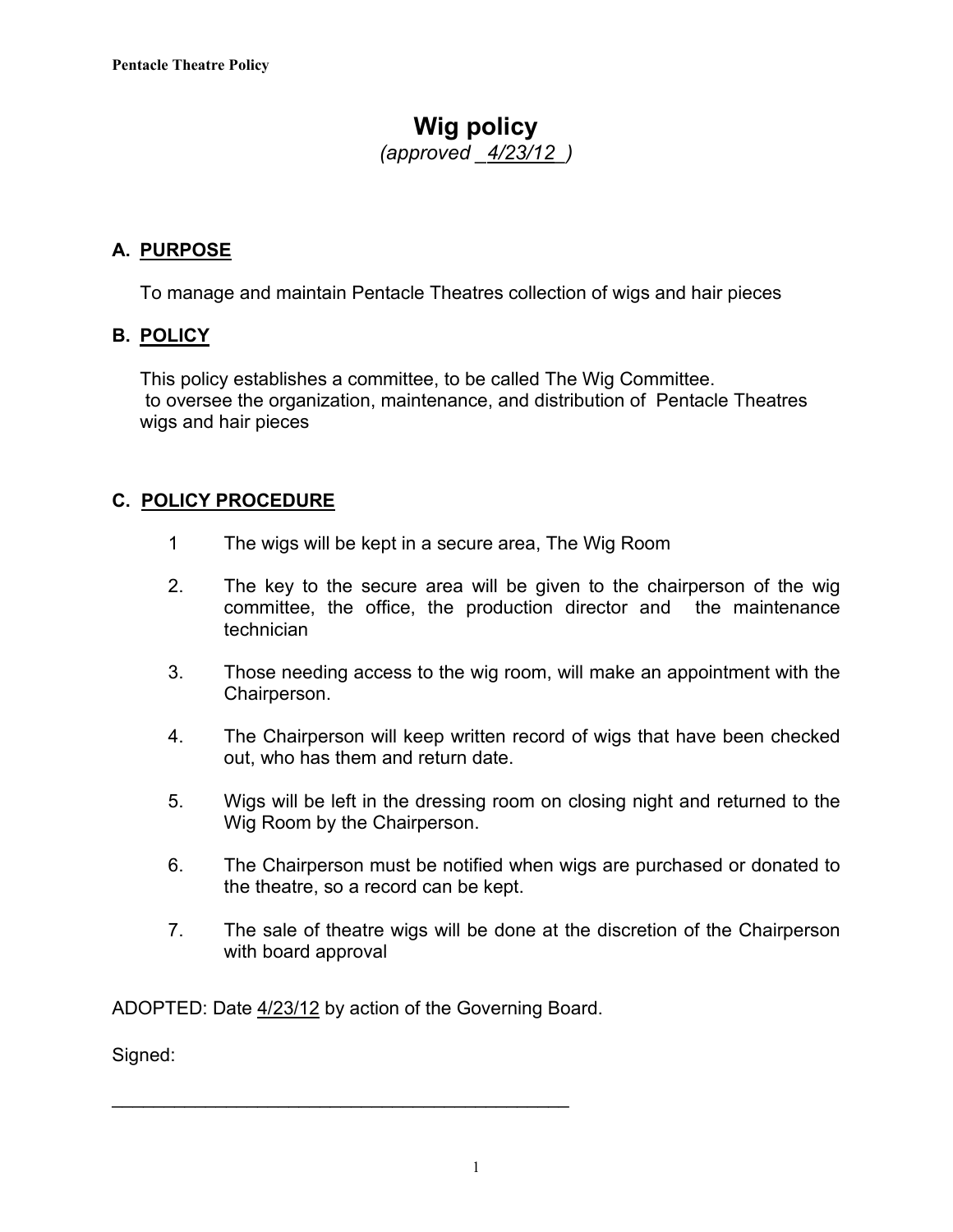## **Wig policy**

*(approved \_4/23/12\_)*

### **A. PURPOSE**

To manage and maintain Pentacle Theatres collection of wigs and hair pieces

#### **B. POLICY**

This policy establishes a committee, to be called The Wig Committee. to oversee the organization, maintenance, and distribution of Pentacle Theatres wigs and hair pieces

#### **C. POLICY PROCEDURE**

- 1 The wigs will be kept in a secure area, The Wig Room
- 2. The key to the secure area will be given to the chairperson of the wig committee, the office, the production director and the maintenance technician
- 3. Those needing access to the wig room, will make an appointment with the Chairperson.
- 4. The Chairperson will keep written record of wigs that have been checked out, who has them and return date.
- 5. Wigs will be left in the dressing room on closing night and returned to the Wig Room by the Chairperson.
- 6. The Chairperson must be notified when wigs are purchased or donated to the theatre, so a record can be kept.
- 7. The sale of theatre wigs will be done at the discretion of the Chairperson with board approval

ADOPTED: Date 4/23/12 by action of the Governing Board.

\_\_\_\_\_\_\_\_\_\_\_\_\_\_\_\_\_\_\_\_\_\_\_\_\_\_\_\_\_\_\_\_\_\_\_\_\_\_\_\_\_\_\_\_

Signed: